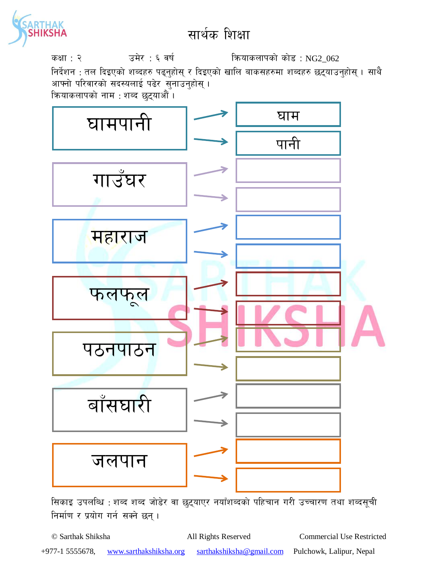

## सार्थक शिक्षा

कक्षा : २  $\overline{3}$  उमेर : ६ वर्ष कियाकलापको कोड : NG2\_062 निर्देशन : तल दिइएको शब्दहरु पढ्नुहोस् र दिइएको खालि बाकसहरुमा शब्दहरु छट्याउनुहोस् । साथै आफ्नो परिवारको सदस्यलाई पढेर सुनाउनुहोस् । क्रियाकलापको नाम : शब्द छट्याऔं ।



सिकाइ उपलब्धि : शब्द शब्द जोडेर वा छुट्याएर नयाँशब्दको पहिचान गरी उच्चारण तथा शब्दसूची तिर्माण र प्रयोग गर्न सक्ने छन्।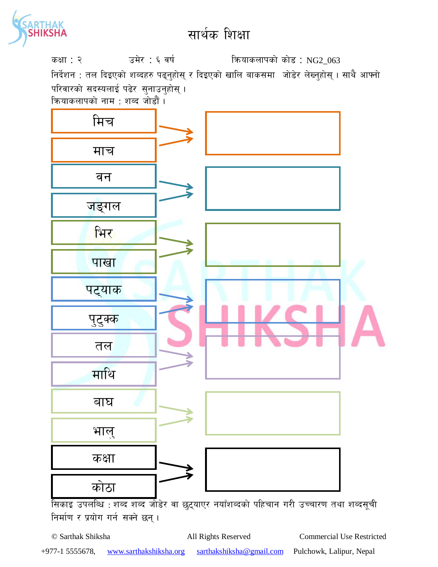

## सार्थक शिक्षा

कक्षा : २  $\overline{3}$  उमेर : ६ वर्ष : कियाकलापको कोड : NG2\_063 निर्देशन : तल दिइएको शब्दहरु पढ्नुहोस् र दिइएको खालि बाकसमा जोडेर लेख्नुहोस् । साथै आफ्नो परिवारको सदस्यलाई पढेर सुनाउनुहोस् । क्रियाकलापको नाम : शब्द जोडौं ।



सिकाइ उपलब्धि : शब्द शब्द जोडेर वा छुट्याएर नयाँशब्दको पहिचान गरी उच्चारण तथा शब्दसूची तिर्माण र प्रयोग गर्न सक्ने छन्।